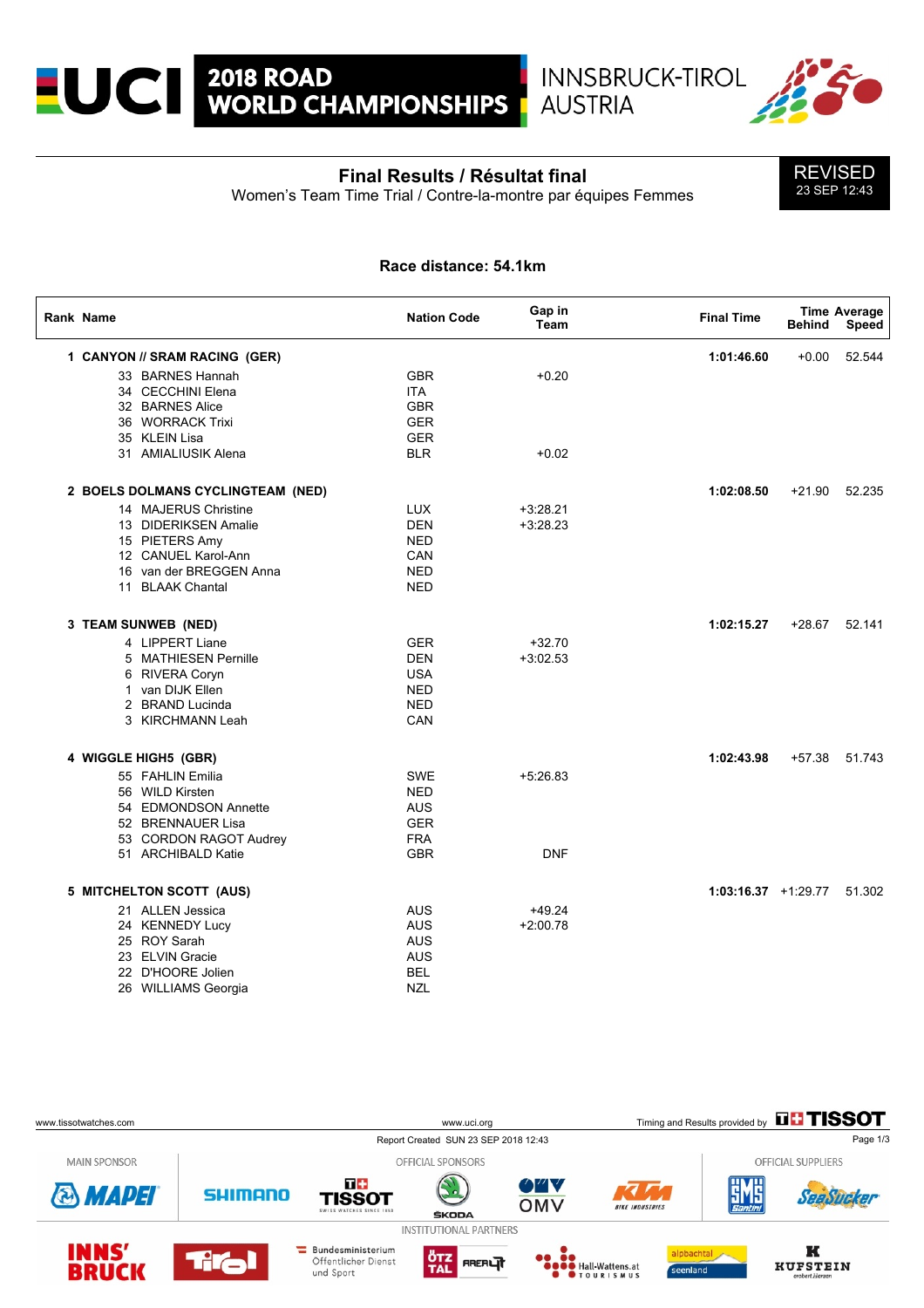

# **Final Results / Résultat final**

Women's Team Time Trial / Contre-la-montre par équipes Femmes

**AUSTRIA** 



### **Race distance: 54.1km**

| <b>Rank Name</b>                  | <b>Nation Code</b> | Gap in<br><b>Team</b> | <b>Final Time</b>     | <b>Behind</b> | <b>Time Average</b><br>Speed |
|-----------------------------------|--------------------|-----------------------|-----------------------|---------------|------------------------------|
| 1 CANYON // SRAM RACING (GER)     |                    |                       | 1:01:46.60            | $+0.00$       | 52.544                       |
| 33 BARNES Hannah                  | <b>GBR</b>         | $+0.20$               |                       |               |                              |
| 34 CECCHINI Elena                 | <b>ITA</b>         |                       |                       |               |                              |
| 32 BARNES Alice                   | <b>GBR</b>         |                       |                       |               |                              |
| 36 WORRACK Trixi                  | <b>GER</b>         |                       |                       |               |                              |
| 35 KLEIN Lisa                     | <b>GER</b>         |                       |                       |               |                              |
| 31 AMIALIUSIK Alena               | <b>BLR</b>         | $+0.02$               |                       |               |                              |
| 2 BOELS DOLMANS CYCLINGTEAM (NED) |                    |                       | 1:02:08.50            | $+21.90$      | 52.235                       |
| 14 MAJERUS Christine              | <b>LUX</b>         | $+3:28.21$            |                       |               |                              |
| 13 DIDERIKSEN Amalie              | <b>DEN</b>         | $+3:28.23$            |                       |               |                              |
| 15 PIETERS Amy                    | <b>NED</b>         |                       |                       |               |                              |
| 12 CANUEL Karol-Ann               | CAN                |                       |                       |               |                              |
| 16 van der BREGGEN Anna           | <b>NED</b>         |                       |                       |               |                              |
| 11 BLAAK Chantal                  | <b>NED</b>         |                       |                       |               |                              |
|                                   |                    |                       |                       |               |                              |
| 3 TEAM SUNWEB (NED)               |                    |                       | 1:02:15.27            |               | +28.67 52.141                |
| 4 LIPPERT Liane                   | <b>GER</b>         | $+32.70$              |                       |               |                              |
| 5 MATHIESEN Pernille              | <b>DEN</b>         | $+3:02.53$            |                       |               |                              |
| 6 RIVERA Coryn                    | <b>USA</b>         |                       |                       |               |                              |
| 1 van DIJK Ellen                  | <b>NED</b>         |                       |                       |               |                              |
| 2 BRAND Lucinda                   | <b>NED</b>         |                       |                       |               |                              |
| 3 KIRCHMANN Leah                  | CAN                |                       |                       |               |                              |
| 4 WIGGLE HIGH5 (GBR)              |                    |                       | 1:02:43.98            |               | +57.38 51.743                |
| 55 FAHLIN Emilia                  | <b>SWE</b>         | $+5.26.83$            |                       |               |                              |
| 56 WILD Kirsten                   | <b>NED</b>         |                       |                       |               |                              |
| 54 EDMONDSON Annette              | <b>AUS</b>         |                       |                       |               |                              |
| 52 BRENNAUER Lisa                 | <b>GER</b>         |                       |                       |               |                              |
| 53 CORDON RAGOT Audrey            | <b>FRA</b>         |                       |                       |               |                              |
| 51 ARCHIBALD Katie                | <b>GBR</b>         | <b>DNF</b>            |                       |               |                              |
|                                   |                    |                       |                       |               |                              |
| 5 MITCHELTON SCOTT (AUS)          |                    |                       | $1:03:16.37 +1:29.77$ |               | 51.302                       |
| 21 ALLEN Jessica                  | <b>AUS</b>         | $+49.24$              |                       |               |                              |
| 24 KENNEDY Lucy                   | <b>AUS</b>         | $+2:00.78$            |                       |               |                              |
| 25 ROY Sarah                      | <b>AUS</b>         |                       |                       |               |                              |
| 23 ELVIN Gracie                   | <b>AUS</b>         |                       |                       |               |                              |
| 22 D'HOORE Jolien                 | <b>BEL</b>         |                       |                       |               |                              |
| 26 WILLIAMS Georgia               | <b>NZL</b>         |                       |                       |               |                              |

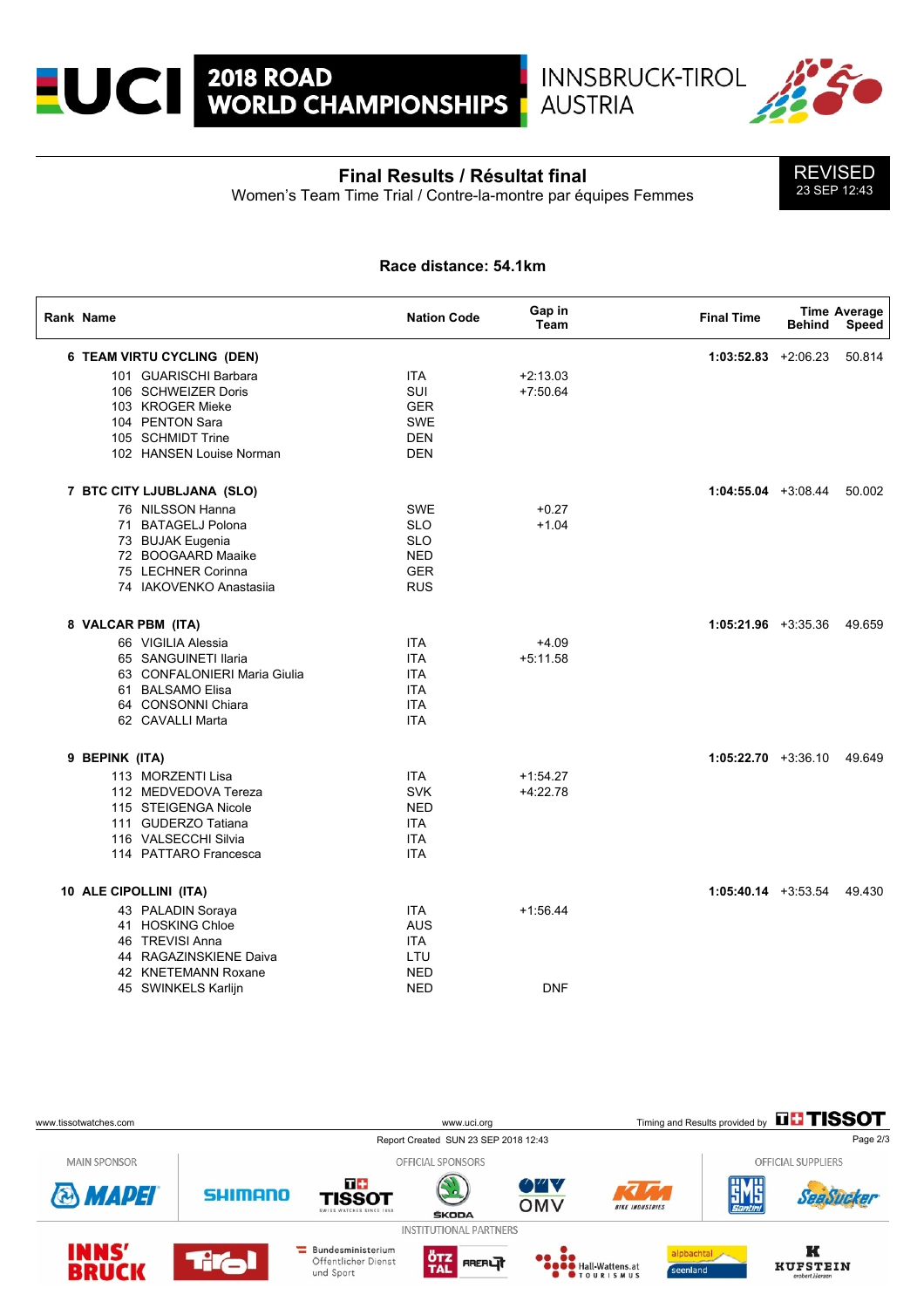

### **Final Results / Résultat final**

**AUSTRIA** 

Women's Team Time Trial / Contre-la-montre par équipes Femmes



#### **Race distance: 54.1km**

| Rank Name      |                              | <b>Nation Code</b> | Gap in<br>Team | <b>Final Time</b>       | <b>Behind</b> | <b>Time Average</b><br>Speed |
|----------------|------------------------------|--------------------|----------------|-------------------------|---------------|------------------------------|
|                | 6 TEAM VIRTU CYCLING (DEN)   |                    |                | $1:03:52.83$ +2:06.23   |               | 50.814                       |
|                | 101 GUARISCHI Barbara        | <b>ITA</b>         | $+2:13.03$     |                         |               |                              |
|                | 106 SCHWEIZER Doris          | <b>SUI</b>         | $+7:50.64$     |                         |               |                              |
|                | 103 KROGER Mieke             | <b>GER</b>         |                |                         |               |                              |
|                | 104 PENTON Sara              | <b>SWE</b>         |                |                         |               |                              |
|                | 105 SCHMIDT Trine            | <b>DEN</b>         |                |                         |               |                              |
|                | 102 HANSEN Louise Norman     | <b>DEN</b>         |                |                         |               |                              |
|                | 7 BTC CITY LJUBLJANA (SLO)   |                    |                | $1:04:55.04$ +3:08.44   |               | 50.002                       |
|                | 76 NILSSON Hanna             | <b>SWE</b>         | $+0.27$        |                         |               |                              |
|                | 71 BATAGELJ Polona           | <b>SLO</b>         | $+1.04$        |                         |               |                              |
|                | 73 BUJAK Eugenia             | <b>SLO</b>         |                |                         |               |                              |
|                | 72 BOOGAARD Maaike           | <b>NED</b>         |                |                         |               |                              |
|                | 75 LECHNER Corinna           | <b>GER</b>         |                |                         |               |                              |
|                | 74 IAKOVENKO Anastasija      | <b>RUS</b>         |                |                         |               |                              |
|                | 8 VALCAR PBM (ITA)           |                    |                | $1:05:21.96$ +3:35.36   |               | 49.659                       |
|                | 66 VIGILIA Alessia           | <b>ITA</b>         | $+4.09$        |                         |               |                              |
|                | 65 SANGUINETI Ilaria         | <b>ITA</b>         | $+5:11.58$     |                         |               |                              |
|                | 63 CONFALONIERI Maria Giulia | <b>ITA</b>         |                |                         |               |                              |
|                | 61 BALSAMO Elisa             | <b>ITA</b>         |                |                         |               |                              |
|                | 64 CONSONNI Chiara           | <b>ITA</b>         |                |                         |               |                              |
|                | 62 CAVALLI Marta             | <b>ITA</b>         |                |                         |               |                              |
| 9 BEPINK (ITA) |                              |                    |                | $1:05:22.70$ +3:36.10   |               | 49.649                       |
|                | 113 MORZENTI Lisa            | <b>ITA</b>         | $+1:54.27$     |                         |               |                              |
|                | 112 MEDVEDOVA Tereza         | <b>SVK</b>         | $+4.22.78$     |                         |               |                              |
|                | 115 STEIGENGA Nicole         | <b>NED</b>         |                |                         |               |                              |
|                | 111 GUDERZO Tatiana          | <b>ITA</b>         |                |                         |               |                              |
|                | 116 VALSECCHI Silvia         | <b>ITA</b>         |                |                         |               |                              |
|                | 114 PATTARO Francesca        | <b>ITA</b>         |                |                         |               |                              |
|                | 10 ALE CIPOLLINI (ITA)       |                    |                | $1:05:40.14$ $+3:53.54$ |               | 49.430                       |
|                | 43 PALADIN Soraya            | <b>ITA</b>         | $+1.56.44$     |                         |               |                              |
|                | 41 HOSKING Chloe             | <b>AUS</b>         |                |                         |               |                              |
|                | 46 TREVISI Anna              | <b>ITA</b>         |                |                         |               |                              |
|                | 44 RAGAZINSKIENE Daiva       | LTU                |                |                         |               |                              |
|                | 42 KNETEMANN Roxane          | <b>NED</b>         |                |                         |               |                              |
|                | 45 SWINKELS Karlijn          | <b>NED</b>         | <b>DNF</b>     |                         |               |                              |
|                |                              |                    |                |                         |               |                              |